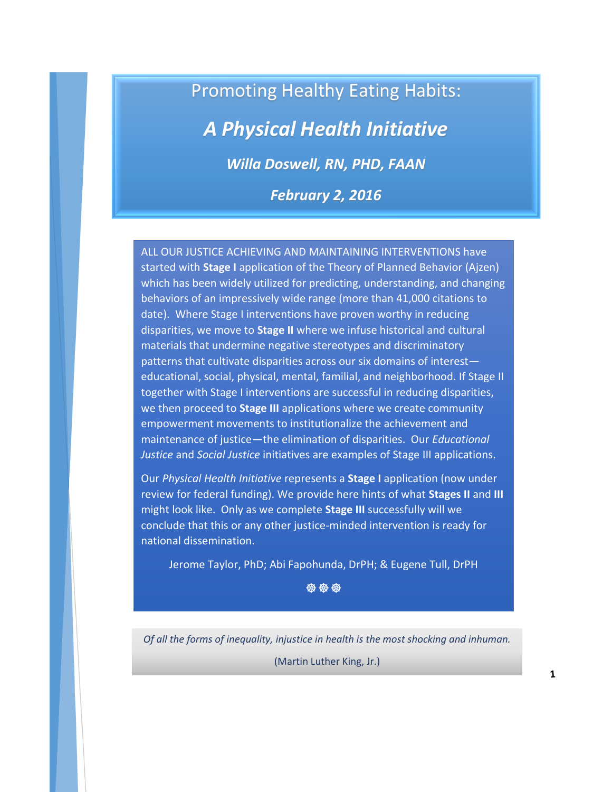# Promoting Healthy Eating Habits:

# *A Physical Health Initiative*

*Willa Doswell, RN, PHD, FAAN*

*February 2, 2016*

ALL OUR JUSTICE ACHIEVING AND MAINTAINING INTERVENTIONS have started with **Stage I** application of the Theory of Planned Behavior (Ajzen) which has been widely utilized for predicting, understanding, and changing behaviors of an impressively wide range (more than 41,000 citations to date). Where Stage I interventions have proven worthy in reducing disparities, we move to **Stage II** where we infuse historical and cultural materials that undermine negative stereotypes and discriminatory patterns that cultivate disparities across our six domains of interest educational, social, physical, mental, familial, and neighborhood. If Stage II together with Stage I interventions are successful in reducing disparities, we then proceed to **Stage III** applications where we create community empowerment movements to institutionalize the achievement and maintenance of justice—the elimination of disparities. Our *Educational Justice* and *Social Justice* initiatives are examples of Stage III applications.

Our *Physical Health Initiative* represents a **Stage I** application (now under review for federal funding). We provide here hints of what **Stages II** and **III** might look like. Only as we complete **Stage III** successfully will we conclude that this or any other justice-minded intervention is ready for national dissemination.

Jerome Taylor, PhD; Abi Fapohunda, DrPH; & Eugene Tull, DrPH

**安安安** 

*Of all the forms of inequality, injustice in health is the most shocking and inhuman.*

(Martin Luther King, Jr.)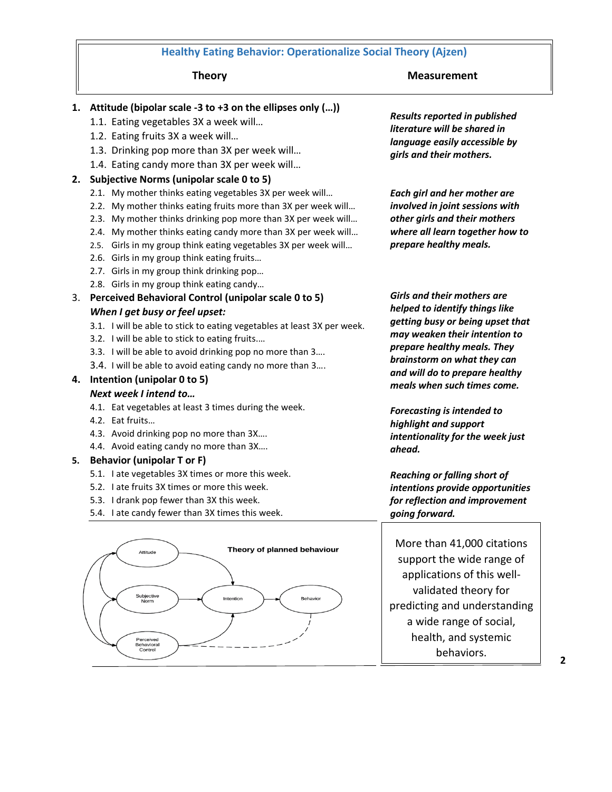### **Healthy Eating Behavior: Operationalize Social Theory (Ajzen)**

#### **Theory** Measurement

#### **1. Attitude (bipolar scale -3 to +3 on the ellipses only (…))**

- 1.1. Eating vegetables 3X a week will…
- 1.2. Eating fruits 3X a week will…
- 1.3. Drinking pop more than 3X per week will…
- 1.4. Eating candy more than 3X per week will…

#### **2. Subjective Norms (unipolar scale 0 to 5)**

- 2.1. My mother thinks eating vegetables 3X per week will…
- 2.2. My mother thinks eating fruits more than 3X per week will…
- 2.3. My mother thinks drinking pop more than 3X per week will…
- 2.4. My mother thinks eating candy more than 3X per week will…
- 2.5. Girls in my group think eating vegetables 3X per week will…
- 2.6. Girls in my group think eating fruits…
- 2.7. Girls in my group think drinking pop…
- 2.8. Girls in my group think eating candy…
- 3. **Perceived Behavioral Control (unipolar scale 0 to 5)**  *When I get busy or feel upset:*
	- 3.1. I will be able to stick to eating vegetables at least 3X per week.
	- 3.2. I will be able to stick to eating fruits.…
	- 3.3. I will be able to avoid drinking pop no more than 3….
	- 3.4. I will be able to avoid eating candy no more than 3….

#### **4. Intention (unipolar 0 to 5)** *Next week I intend to…*

- 4.1. Eat vegetables at least 3 times during the week.
- 4.2. Eat fruits…
- 4.3. Avoid drinking pop no more than 3X….
- 4.4. Avoid eating candy no more than 3X….

#### **5. Behavior (unipolar T or F)**

- 5.1. I ate vegetables 3X times or more this week.
- 5.2. I ate fruits 3X times or more this week.
- 5.3. I drank pop fewer than 3X this week.
- 5.4. I ate candy fewer than 3X times this week.



*Results reported in published literature will be shared in language easily accessible by girls and their mothers.*

*Each girl and her mother are involved in joint sessions with other girls and their mothers where all learn together how to prepare healthy meals.*

*Girls and their mothers are helped to identify things like getting busy or being upset that may weaken their intention to prepare healthy meals. They brainstorm on what they can and will do to prepare healthy meals when such times come.*

*Forecasting is intended to highlight and support intentionality for the week just ahead.*

*Reaching or falling short of intentions provide opportunities for reflection and improvement going forward.*

More than 41,000 citations support the wide range of applications of this wellvalidated theory for predicting and understanding a wide range of social, health, and systemic behaviors.